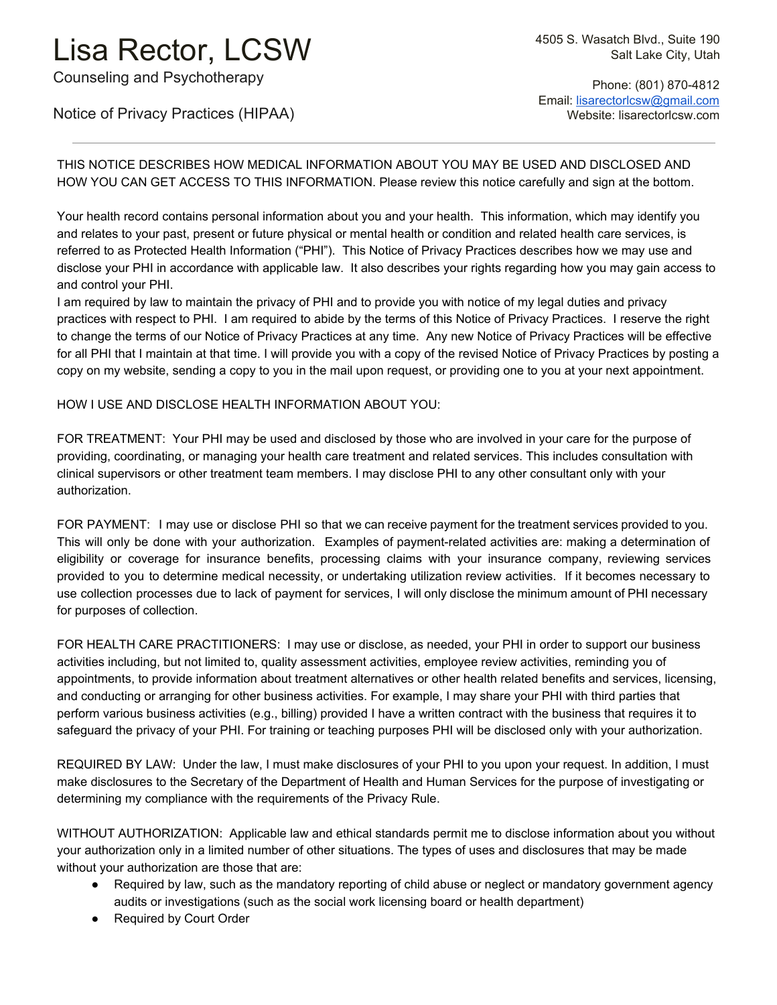## Lisa Rector, LCSW

Counseling and Psychotherapy

 Phone: (801) 870-4812 Email: [lisarectorlcsw@gmail.com](mailto:lisarectorlcsw@gmail.com) Website: lisarectorlcsw.com

Notice of Privacy Practices (HIPAA)

THIS NOTICE DESCRIBES HOW MEDICAL INFORMATION ABOUT YOU MAY BE USED AND DISCLOSED AND HOW YOU CAN GET ACCESS TO THIS INFORMATION. Please review this notice carefully and sign at the bottom.

Your health record contains personal information about you and your health. This information, which may identify you and relates to your past, present or future physical or mental health or condition and related health care services, is referred to as Protected Health Information ("PHI"). This Notice of Privacy Practices describes how we may use and disclose your PHI in accordance with applicable law. It also describes your rights regarding how you may gain access to and control your PHI.

I am required by law to maintain the privacy of PHI and to provide you with notice of my legal duties and privacy practices with respect to PHI. I am required to abide by the terms of this Notice of Privacy Practices. I reserve the right to change the terms of our Notice of Privacy Practices at any time. Any new Notice of Privacy Practices will be effective for all PHI that I maintain at that time. I will provide you with a copy of the revised Notice of Privacy Practices by posting a copy on my website, sending a copy to you in the mail upon request, or providing one to you at your next appointment.

HOW I USE AND DISCLOSE HEALTH INFORMATION ABOUT YOU:

FOR TREATMENT: Your PHI may be used and disclosed by those who are involved in your care for the purpose of providing, coordinating, or managing your health care treatment and related services. This includes consultation with clinical supervisors or other treatment team members. I may disclose PHI to any other consultant only with your authorization.

FOR PAYMENT: I may use or disclose PHI so that we can receive payment for the treatment services provided to you. This will only be done with your authorization. Examples of payment-related activities are: making a determination of eligibility or coverage for insurance benefits, processing claims with your insurance company, reviewing services provided to you to determine medical necessity, or undertaking utilization review activities. If it becomes necessary to use collection processes due to lack of payment for services, I will only disclose the minimum amount of PHI necessary for purposes of collection.

FOR HEALTH CARE PRACTITIONERS: I may use or disclose, as needed, your PHI in order to support our business activities including, but not limited to, quality assessment activities, employee review activities, reminding you of appointments, to provide information about treatment alternatives or other health related benefits and services, licensing, and conducting or arranging for other business activities. For example, I may share your PHI with third parties that perform various business activities (e.g., billing) provided I have a written contract with the business that requires it to safeguard the privacy of your PHI. For training or teaching purposes PHI will be disclosed only with your authorization.

REQUIRED BY LAW: Under the law, I must make disclosures of your PHI to you upon your request. In addition, I must make disclosures to the Secretary of the Department of Health and Human Services for the purpose of investigating or determining my compliance with the requirements of the Privacy Rule.

WITHOUT AUTHORIZATION: Applicable law and ethical standards permit me to disclose information about you without your authorization only in a limited number of other situations. The types of uses and disclosures that may be made without your authorization are those that are:

- Required by law, such as the mandatory reporting of child abuse or neglect or mandatory government agency audits or investigations (such as the social work licensing board or health department)
- Required by Court Order